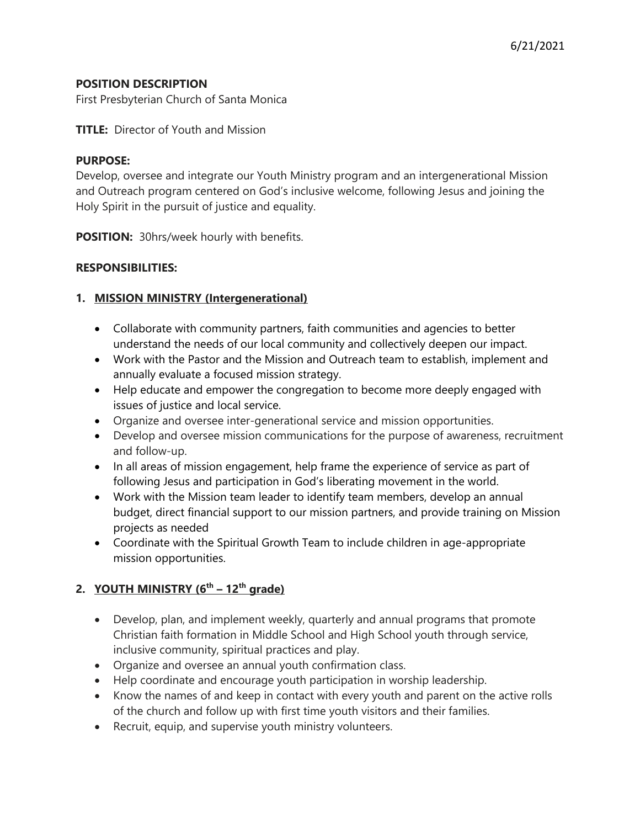### **POSITION DESCRIPTION**

First Presbyterian Church of Santa Monica

### **TITLE:** Director of Youth and Mission

#### **PURPOSE:**

Develop, oversee and integrate our Youth Ministry program and an intergenerational Mission and Outreach program centered on God's inclusive welcome, following Jesus and joining the Holy Spirit in the pursuit of justice and equality.

**POSITION:** 30hrs/week hourly with benefits.

#### **RESPONSIBILITIES:**

### **1. MISSION MINISTRY (Intergenerational)**

- Collaborate with community partners, faith communities and agencies to better understand the needs of our local community and collectively deepen our impact.
- Work with the Pastor and the Mission and Outreach team to establish, implement and annually evaluate a focused mission strategy.
- Help educate and empower the congregation to become more deeply engaged with issues of justice and local service.
- Organize and oversee inter-generational service and mission opportunities.
- Develop and oversee mission communications for the purpose of awareness, recruitment and follow-up.
- In all areas of mission engagement, help frame the experience of service as part of following Jesus and participation in God's liberating movement in the world.
- Work with the Mission team leader to identify team members, develop an annual budget, direct financial support to our mission partners, and provide training on Mission projects as needed
- Coordinate with the Spiritual Growth Team to include children in age-appropriate mission opportunities.

## **2. YOUTH MINISTRY**  $(6^{th} - 12^{th} \text{ grade})$

- Develop, plan, and implement weekly, quarterly and annual programs that promote Christian faith formation in Middle School and High School youth through service, inclusive community, spiritual practices and play.
- Organize and oversee an annual youth confirmation class.
- Help coordinate and encourage youth participation in worship leadership.
- Know the names of and keep in contact with every youth and parent on the active rolls of the church and follow up with first time youth visitors and their families.
- Recruit, equip, and supervise youth ministry volunteers.